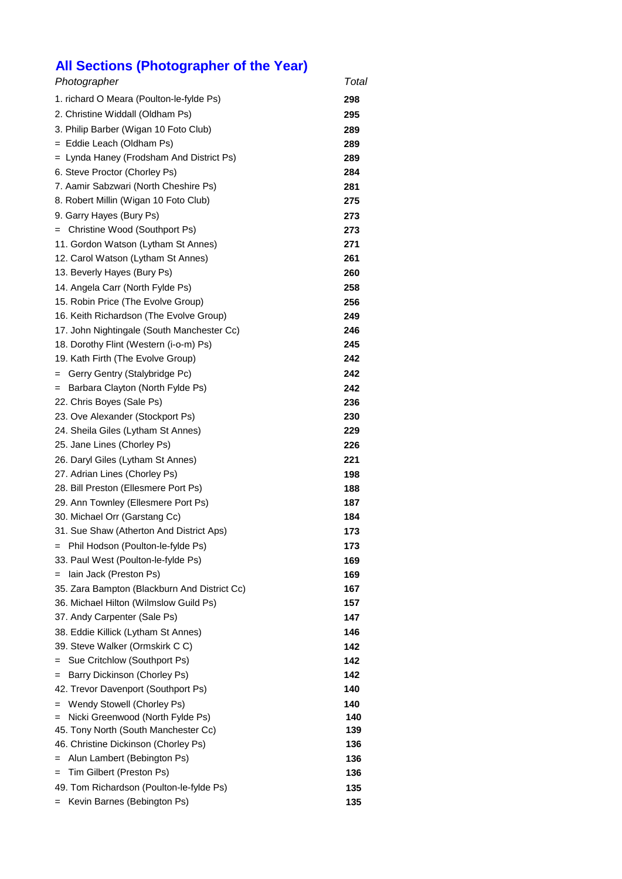## **All Sections (Photographer of the Year)**

| Photographer                                                                  | Total      |
|-------------------------------------------------------------------------------|------------|
| 1. richard O Meara (Poulton-le-fylde Ps)                                      | 298        |
| 2. Christine Widdall (Oldham Ps)                                              | 295        |
| 3. Philip Barber (Wigan 10 Foto Club)                                         | 289        |
| = Eddie Leach (Oldham Ps)                                                     | 289        |
| = Lynda Haney (Frodsham And District Ps)                                      | 289        |
| 6. Steve Proctor (Chorley Ps)                                                 | 284        |
| 7. Aamir Sabzwari (North Cheshire Ps)                                         | 281        |
| 8. Robert Millin (Wigan 10 Foto Club)                                         | 275        |
| 9. Garry Hayes (Bury Ps)                                                      | 273        |
| Christine Wood (Southport Ps)<br>$=$                                          | 273        |
| 11. Gordon Watson (Lytham St Annes)                                           | 271        |
| 12. Carol Watson (Lytham St Annes)                                            | 261        |
| 13. Beverly Hayes (Bury Ps)                                                   | 260        |
| 14. Angela Carr (North Fylde Ps)                                              | 258        |
| 15. Robin Price (The Evolve Group)                                            | 256        |
| 16. Keith Richardson (The Evolve Group)                                       | 249        |
| 17. John Nightingale (South Manchester Cc)                                    | 246        |
| 18. Dorothy Flint (Western (i-o-m) Ps)                                        | 245        |
| 19. Kath Firth (The Evolve Group)                                             | 242        |
| Gerry Gentry (Stalybridge Pc)<br>$=$                                          | 242        |
| Barbara Clayton (North Fylde Ps)<br>$=$                                       | 242        |
| 22. Chris Boyes (Sale Ps)                                                     | 236        |
| 23. Ove Alexander (Stockport Ps)                                              | 230        |
| 24. Sheila Giles (Lytham St Annes)                                            | 229        |
| 25. Jane Lines (Chorley Ps)                                                   | 226        |
| 26. Daryl Giles (Lytham St Annes)                                             | 221        |
| 27. Adrian Lines (Chorley Ps)                                                 | 198        |
| 28. Bill Preston (Ellesmere Port Ps)                                          | 188        |
| 29. Ann Townley (Ellesmere Port Ps)                                           | 187        |
| 30. Michael Orr (Garstang Cc)                                                 | 184        |
| 31. Sue Shaw (Atherton And District Aps)                                      | 173        |
| = Phil Hodson (Poulton-le-fylde Ps)                                           | 173        |
| 33. Paul West (Poulton-le-fylde Ps)                                           | 169        |
| lain Jack (Preston Ps)<br>$=$                                                 | 169        |
| 35. Zara Bampton (Blackburn And District Cc)                                  | 167        |
| 36. Michael Hilton (Wilmslow Guild Ps)                                        | 157        |
| 37. Andy Carpenter (Sale Ps)                                                  | 147        |
| 38. Eddie Killick (Lytham St Annes)                                           | 146        |
| 39. Steve Walker (Ormskirk C C)                                               | 142        |
| Sue Critchlow (Southport Ps)                                                  | 142        |
| Barry Dickinson (Chorley Ps)<br>=                                             | 142        |
| 42. Trevor Davenport (Southport Ps)                                           | 140        |
| Wendy Stowell (Chorley Ps)<br>=                                               | 140<br>140 |
| Nicki Greenwood (North Fylde Ps)<br>=<br>45. Tony North (South Manchester Cc) | 139        |
| 46. Christine Dickinson (Chorley Ps)                                          | 136        |
| Alun Lambert (Bebington Ps)                                                   | 136        |
| Tim Gilbert (Preston Ps)<br>=                                                 | 136        |
| 49. Tom Richardson (Poulton-le-fylde Ps)                                      | 135        |
| Kevin Barnes (Bebington Ps)<br>$=$                                            | 135        |
|                                                                               |            |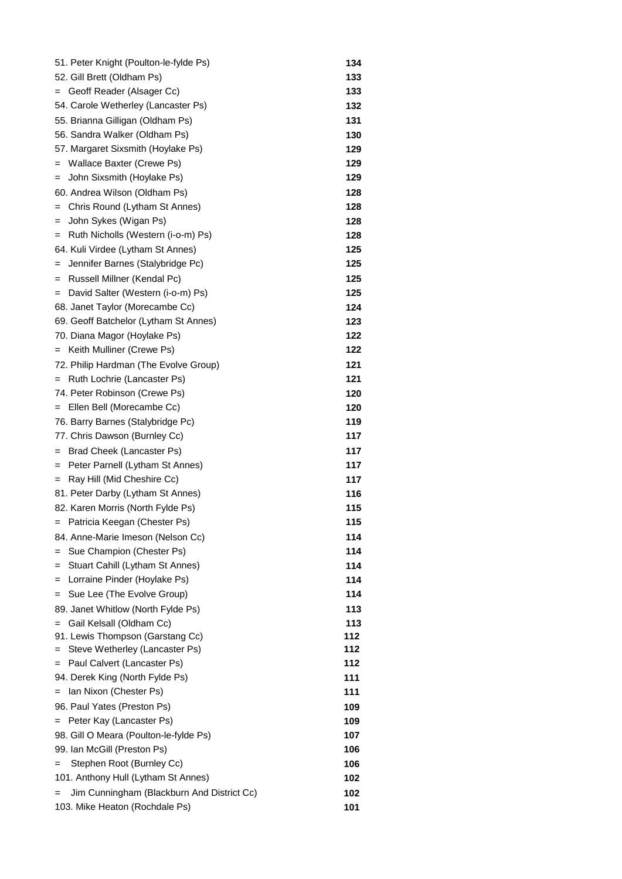| 51. Peter Knight (Poulton-le-fylde Ps)            | 134 |
|---------------------------------------------------|-----|
| 52. Gill Brett (Oldham Ps)                        | 133 |
| = Geoff Reader (Alsager Cc)                       | 133 |
| 54. Carole Wetherley (Lancaster Ps)               | 132 |
| 55. Brianna Gilligan (Oldham Ps)                  | 131 |
| 56. Sandra Walker (Oldham Ps)                     | 130 |
| 57. Margaret Sixsmith (Hoylake Ps)                | 129 |
| Wallace Baxter (Crewe Ps)<br>=                    | 129 |
| John Sixsmith (Hoylake Ps)<br>=                   | 129 |
| 60. Andrea Wilson (Oldham Ps)                     | 128 |
| Chris Round (Lytham St Annes)<br>=                | 128 |
| John Sykes (Wigan Ps)<br>=                        | 128 |
| Ruth Nicholls (Western (i-o-m) Ps)<br>$=$         | 128 |
| 64. Kuli Virdee (Lytham St Annes)                 | 125 |
| Jennifer Barnes (Stalybridge Pc)<br>$=$           | 125 |
| Russell Millner (Kendal Pc)<br>$=$                | 125 |
| David Salter (Western (i-o-m) Ps)<br>$=$          | 125 |
| 68. Janet Taylor (Morecambe Cc)                   | 124 |
| 69. Geoff Batchelor (Lytham St Annes)             | 123 |
| 70. Diana Magor (Hoylake Ps)                      | 122 |
| Keith Mulliner (Crewe Ps)<br>$=$                  | 122 |
| 72. Philip Hardman (The Evolve Group)             | 121 |
| Ruth Lochrie (Lancaster Ps)<br>$=$                | 121 |
| 74. Peter Robinson (Crewe Ps)                     | 120 |
| Ellen Bell (Morecambe Cc)<br>$=$                  | 120 |
| 76. Barry Barnes (Stalybridge Pc)                 | 119 |
| 77. Chris Dawson (Burnley Cc)                     | 117 |
| Brad Cheek (Lancaster Ps)<br>$=$                  | 117 |
| Peter Parnell (Lytham St Annes)<br>$=$            | 117 |
| Ray Hill (Mid Cheshire Cc)<br>$=$                 | 117 |
| 81. Peter Darby (Lytham St Annes)                 | 116 |
| 82. Karen Morris (North Fylde Ps)                 | 115 |
| = Patricia Keegan (Chester Ps)                    | 115 |
| 84. Anne-Marie Imeson (Nelson Cc)                 | 114 |
| Sue Champion (Chester Ps)<br>=                    | 114 |
| Stuart Cahill (Lytham St Annes)<br>=              | 114 |
| Lorraine Pinder (Hoylake Ps)<br>=                 | 114 |
| Sue Lee (The Evolve Group)<br>=                   | 114 |
| 89. Janet Whitlow (North Fylde Ps)                | 113 |
| Gail Kelsall (Oldham Cc)<br>$=$                   | 113 |
| 91. Lewis Thompson (Garstang Cc)                  | 112 |
| Steve Wetherley (Lancaster Ps)                    | 112 |
| Paul Calvert (Lancaster Ps)<br>=                  | 112 |
| 94. Derek King (North Fylde Ps)                   | 111 |
| Ian Nixon (Chester Ps)<br>$=$                     | 111 |
| 96. Paul Yates (Preston Ps)                       | 109 |
| = Peter Kay (Lancaster Ps)                        | 109 |
| 98. Gill O Meara (Poulton-le-fylde Ps)            | 107 |
| 99. Ian McGill (Preston Ps)                       | 106 |
| Stephen Root (Burnley Cc)<br>=                    | 106 |
| 101. Anthony Hull (Lytham St Annes)               | 102 |
| Jim Cunningham (Blackburn And District Cc)<br>$=$ | 102 |
| 103. Mike Heaton (Rochdale Ps)                    | 101 |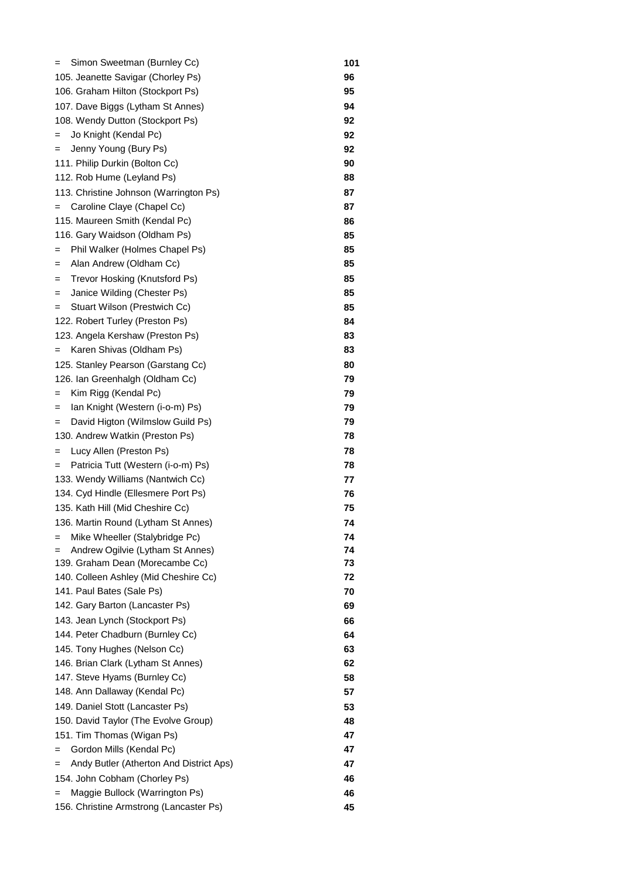| Simon Sweetman (Burnley Cc)<br>=             | 101 |
|----------------------------------------------|-----|
| 105. Jeanette Savigar (Chorley Ps)           | 96  |
| 106. Graham Hilton (Stockport Ps)            | 95  |
| 107. Dave Biggs (Lytham St Annes)            | 94  |
| 108. Wendy Dutton (Stockport Ps)             | 92  |
| Jo Knight (Kendal Pc)<br>=                   | 92  |
| Jenny Young (Bury Ps)<br>$=$                 | 92  |
| 111. Philip Durkin (Bolton Cc)               | 90  |
| 112. Rob Hume (Leyland Ps)                   | 88  |
| 113. Christine Johnson (Warrington Ps)       | 87  |
| Caroline Claye (Chapel Cc)<br>$=$            | 87  |
| 115. Maureen Smith (Kendal Pc)               | 86  |
| 116. Gary Waidson (Oldham Ps)                | 85  |
| Phil Walker (Holmes Chapel Ps)<br>$=$        | 85  |
| Alan Andrew (Oldham Cc)<br>=                 | 85  |
| Trevor Hosking (Knutsford Ps)<br>=           | 85  |
| Janice Wilding (Chester Ps)<br>=             | 85  |
| Stuart Wilson (Prestwich Cc)<br>=            | 85  |
| 122. Robert Turley (Preston Ps)              | 84  |
| 123. Angela Kershaw (Preston Ps)             | 83  |
| Karen Shivas (Oldham Ps)<br>$=$              | 83  |
| 125. Stanley Pearson (Garstang Cc)           | 80  |
| 126. Ian Greenhalgh (Oldham Cc)              | 79  |
| Kim Rigg (Kendal Pc)<br>$=$                  | 79  |
| Ian Knight (Western (i-o-m) Ps)<br>=         | 79  |
| David Higton (Wilmslow Guild Ps)<br>=        | 79  |
| 130. Andrew Watkin (Preston Ps)              | 78  |
| Lucy Allen (Preston Ps)<br>=                 | 78  |
| Patricia Tutt (Western (i-o-m) Ps)<br>$=$    | 78  |
| 133. Wendy Williams (Nantwich Cc)            | 77  |
| 134. Cyd Hindle (Ellesmere Port Ps)          | 76  |
| 135. Kath Hill (Mid Cheshire Cc)             | 75  |
| 136. Martin Round (Lytham St Annes)          | 74  |
| Mike Wheeller (Stalybridge Pc)<br>$=$        | 74  |
| Andrew Ogilvie (Lytham St Annes)<br>$=$      | 74  |
| 139. Graham Dean (Morecambe Cc)              | 73  |
| 140. Colleen Ashley (Mid Cheshire Cc)        | 72  |
| 141. Paul Bates (Sale Ps)                    | 70  |
| 142. Gary Barton (Lancaster Ps)              | 69  |
| 143. Jean Lynch (Stockport Ps)               | 66  |
| 144. Peter Chadburn (Burnley Cc)             | 64  |
| 145. Tony Hughes (Nelson Cc)                 | 63  |
| 146. Brian Clark (Lytham St Annes)           | 62  |
| 147. Steve Hyams (Burnley Cc)                | 58  |
| 148. Ann Dallaway (Kendal Pc)                | 57  |
| 149. Daniel Stott (Lancaster Ps)             | 53  |
| 150. David Taylor (The Evolve Group)         | 48  |
| 151. Tim Thomas (Wigan Ps)                   | 47  |
| Gordon Mills (Kendal Pc)<br>=                | 47  |
| Andy Butler (Atherton And District Aps)<br>= | 47  |
| 154. John Cobham (Chorley Ps)                | 46  |
| Maggie Bullock (Warrington Ps)<br>=          | 46  |
| 156. Christine Armstrong (Lancaster Ps)      | 45  |